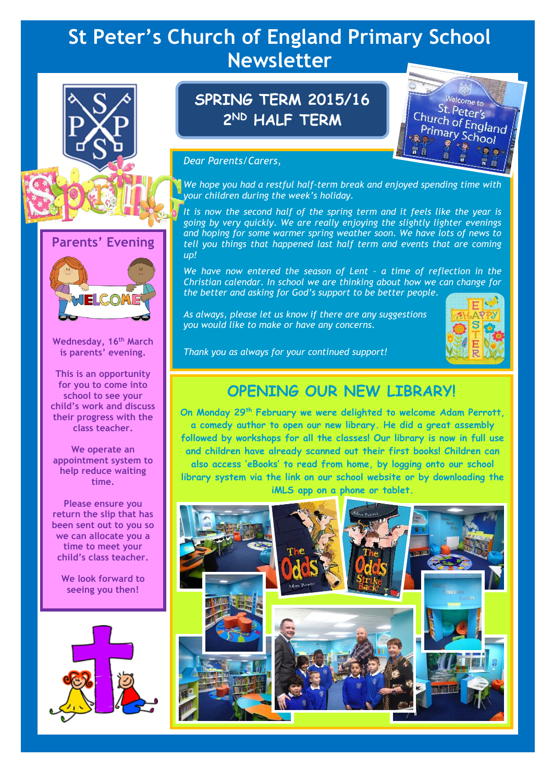# **St Peter's Church of England Primary School Newsletter**





**Wednesday, 16th March is parents' evening.**

**This is an opportunity for you to come into school to see your child's work and discuss their progress with the class teacher.**

**We operate an appointment system to help reduce waiting time.**

**Please ensure you return the slip that has been sent out to you so we can allocate you a time to meet your child's class teacher.**

**We look forward to seeing you then!**



# **SPRING TERM 2015/16 2 ND HALF TERM**



#### *Dear Parents/Carers,*

*We hope you had a restful half-term break and enjoyed spending time with your children during the week's holiday.*

*It is now the second half of the spring term and it feels like the year is going by very quickly. We are really enjoying the slightly lighter evenings and hoping for some warmer spring weather soon. We have lots of news to tell you things that happened last half term and events that are coming up!*

*We have now entered the season of Lent – a time of reflection in the Christian calendar. In school we are thinking about how we can change for the better and asking for God's support to be better people.*

*As always, please let us know if there are any suggestions you would like to make or have any concerns.*



*Thank you as always for your continued support!*

# **OPENING OUR NEW LIBRARY!**

**On Monday 29th February we were delighted to welcome Adam Perrott, a comedy author to open our new library. He did a great assembly followed by workshops for all the classes! Our library is now in full use and children have already scanned out their first books! Children can also access 'eBooks' to read from home, by logging onto our school library system via the link on our school website or by downloading the iMLS app on a phone or tablet.**

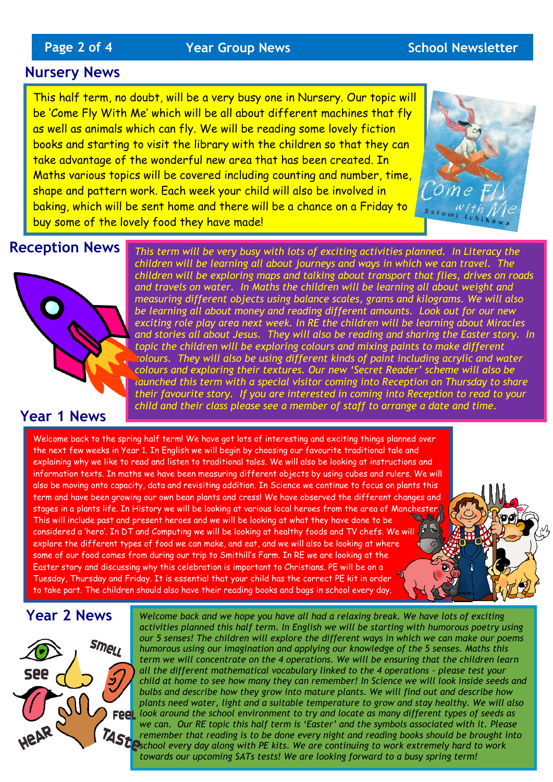# **Page 2 of 4** *Year Group News* **School Newsletter**

### **Nursery News**

This half term, no doubt, will be a very busy one in Nursery. Our topic will be 'Come Fly With Me' which will be all about different machines that fly as well as animals which can fly. We will be reading some lovely fiction books and starting to visit the library with the children so that they can take advantage of the wonderful new area that has been created. In Maths various topics will be covered including counting and number, time, shape and pattern work. Each week your child will also be involved in baking, which will be sent home and there will be a chance on a Friday to buy some of the lovely food they have made!



# **Reception News**



## **Year 1 News**

*This term will be very busy with lots of exciting activities planned. In Literacy the children will be learning all about journeys and ways in which we can travel. The children will be exploring maps and talking about transport that flies, drives on roads and travels on water. In Maths the children will be learning all about weight and measuring different objects using balance scales, grams and kilograms. We will also be learning all about money and reading different amounts. Look out for our new exciting role play area next week. In RE the children will be learning about Miracles and stories all about Jesus. They will also be reading and sharing the Easter story. In topic the children will be exploring colours and mixing paints to make different colours. They will also be using different kinds of paint including acrylic and water colours and exploring their textures. Our new 'Secret Reader' scheme will also be launched this term with a special visitor coming into Reception on Thursday to share their favourite story. If you are interested in coming into Reception to read to your child and their class please see a member of staff to arrange a date and time.* 

Welcome back to the spring half term! We have got lots of interesting and exciting things planned over the next few weeks in Year 1. In English we will begin by choosing our favourite traditional tale and explaining why we like to read and listen to traditional tales. We will also be looking at instructions and information texts. In maths we have been measuring different objects by using cubes and rulers. We will also be moving onto capacity, data and revisiting addition. In Science we continue to focus on plants this term and have been growing our own bean plants and cress! We have observed the different changes and stages in a plants life. In History we will be looking at various local heroes from the area of Manchester. This will include past and present heroes and we will be looking at what they have done to be considered a 'hero'. In DT and Computing we will be looking at healthy foods and TV chefs. We will explore the different types of food we can make, and eat, and we will also be looking at where some of our food comes from during our trip to Smithill's Farm. In RE we are looking at the Easter story and discussing why this celebration is important to Christians. PE will be on a Tuesday, Thursday and Friday. It is essential that your child has the correct PE kit in order to take part. The children should also have their reading books and bags in school every day.

## **Year 2 News**



*Welcome back and we hope you have all had a relaxing break. We have lots of exciting activities planned this half term. In English we will be starting with humorous poetry using our 5 senses! The children will explore the different ways in which we can make our poems humorous using our imagination and applying our knowledge of the 5 senses. Maths this term we will concentrate on the 4 operations. We will be ensuring that the children learn*  all the different mathematical vocabulary linked to the 4 operations - please test your *child at home to see how many they can remember! In Science we will look inside seeds and bulbs and describe how they grow into mature plants. We will find out and describe how plants need water, light and a suitable temperature to grow and stay healthy. We will also look around the school environment to try and locate as many different types of seeds as we can. Our RE topic this half term is 'Easter' and the symbols associated with it. Please remember that reading is to be done every night and reading books should be brought into school every day along with PE kits. We are continuing to work extremely hard to work towards our upcoming SATs tests! We are looking forward to a busy spring term!*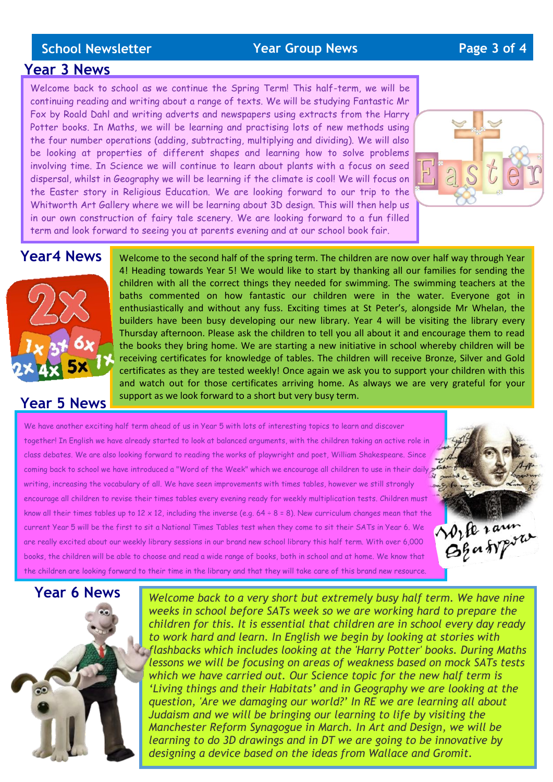#### **School Newsletter Year Group News Page 3 of 4**

#### **Year 3 News**

Welcome back to school as we continue the Spring Term! This half-term, we will be continuing reading and writing about a range of texts. We will be studying Fantastic Mr Fox by Roald Dahl and writing adverts and newspapers using extracts from the Harry Potter books. In Maths, we will be learning and practising lots of new methods using the four number operations (adding, subtracting, multiplying and dividing). We will also be looking at properties of different shapes and learning how to solve problems involving time. In Science we will continue to learn about plants with a focus on seed dispersal, whilst in Geography we will be learning if the climate is cool! We will focus on the Easter story in Religious Education. We are looking forward to our trip to the Whitworth Art Gallery where we will be learning about 3D design. This will then help us in our own construction of fairy tale scenery. We are looking forward to a fun filled term and look forward to seeing you at parents evening and at our school book fair.



# **Year4 News**



## **Year 5 News**

Welcome to the second half of the spring term. The children are now over half way through Year 4! Heading towards Year 5! We would like to start by thanking all our families for sending the children with all the correct things they needed for swimming. The swimming teachers at the baths commented on how fantastic our children were in the water. Everyone got in enthusiastically and without any fuss. Exciting times at St Peter's, alongside Mr Whelan, the builders have been busy developing our new library. Year 4 will be visiting the library every Thursday afternoon. Please ask the children to tell you all about it and encourage them to read the books they bring home. We are starting a new initiative in school whereby children will be receiving certificates for knowledge of tables. The children will receive Bronze, Silver and Gold certificates as they are tested weekly! Once again we ask you to support your children with this and watch out for those certificates arriving home. As always we are very grateful for your support as we look forward to a short but very busy term.

We have another exciting half term ahead of us in Year 5 with lots of interesting topics to learn and discover together! In English we have already started to look at balanced arguments, with the children taking an active role in class debates. We are also looking forward to reading the works of playwright and poet, William Shakespeare. Since coming back to school we have introduced a "Word of the Week" which we encourage all children to use in their daily writing, increasing the vocabulary of all. We have seen improvements with times tables, however we still strongly encourage all children to revise their times tables every evening ready for weekly multiplication tests. Children must know all their times tables up to 12 x 12, including the inverse (e.g. 64 ÷ 8 = 8). New curriculum changes mean that the<br>current Year 5 will be the first to sit a National Times Tables test when they come to sit their SAT current Year 5 will be the first to sit a National Times Tables test when they come to sit their SATs in Year 6. We are really excited about our weekly library sessions in our brand new school library this half term. With over 6,000 books, the children will be able to choose and read a wide range of books, both in school and at home. We know that the children are looking forward to their time in the library and that they will take care of this brand new resource.





*Welcome back to a very short but extremely busy half term. We have nine weeks in school before SATs week so we are working hard to prepare the children for this. It is essential that children are in school every day ready to work hard and learn. In English we begin by looking at stories with flashbacks which includes looking at the 'Harry Potter' books. During Maths lessons we will be focusing on areas of weakness based on mock SATs tests which we have carried out. Our Science topic for the new half term is 'Living things and their Habitats' and in Geography we are looking at the question, 'Are we damaging our world?' In RE we are learning all about Judaism and we will be bringing our learning to life by visiting the Manchester Reform Synagogue in March. In Art and Design, we will be learning to do 3D drawings and in DT we are going to be innovative by designing a device based on the ideas from Wallace and Gromit.*